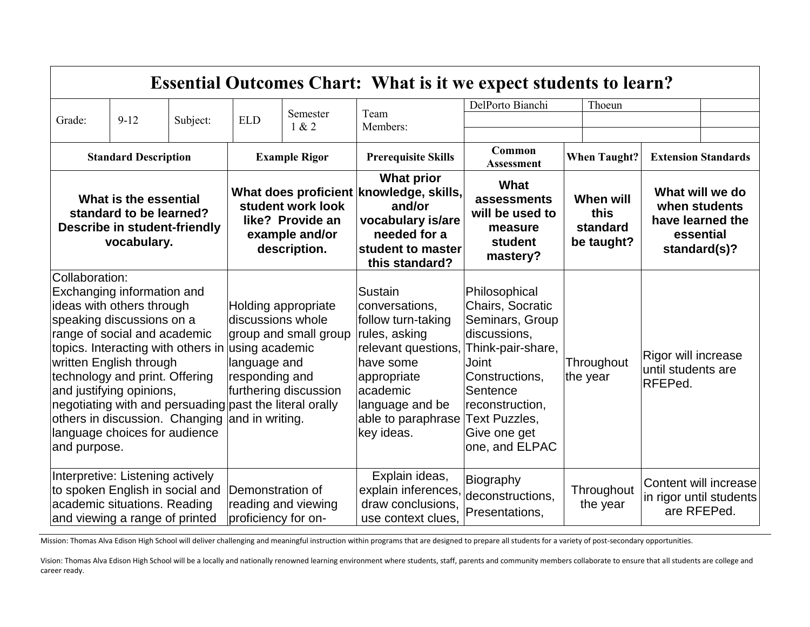| <b>Essential Outcomes Chart: What is it we expect students to learn?</b>                                                                                                                                                                                                                                                                                                                                                                           |        |                                                                                                                    |                                                                                                                              |                                                                                                         |                                                                                                                                                                                        |                                                                                                                                                                                                        |                                                                                   |                                                      |  |
|----------------------------------------------------------------------------------------------------------------------------------------------------------------------------------------------------------------------------------------------------------------------------------------------------------------------------------------------------------------------------------------------------------------------------------------------------|--------|--------------------------------------------------------------------------------------------------------------------|------------------------------------------------------------------------------------------------------------------------------|---------------------------------------------------------------------------------------------------------|----------------------------------------------------------------------------------------------------------------------------------------------------------------------------------------|--------------------------------------------------------------------------------------------------------------------------------------------------------------------------------------------------------|-----------------------------------------------------------------------------------|------------------------------------------------------|--|
|                                                                                                                                                                                                                                                                                                                                                                                                                                                    |        |                                                                                                                    |                                                                                                                              |                                                                                                         |                                                                                                                                                                                        | DelPorto Bianchi                                                                                                                                                                                       | Thoeun                                                                            |                                                      |  |
| Grade:                                                                                                                                                                                                                                                                                                                                                                                                                                             | $9-12$ | Subject:                                                                                                           | <b>ELD</b>                                                                                                                   | Semester<br>1 & 2                                                                                       | Team<br>Members:                                                                                                                                                                       |                                                                                                                                                                                                        |                                                                                   |                                                      |  |
|                                                                                                                                                                                                                                                                                                                                                                                                                                                    |        |                                                                                                                    |                                                                                                                              |                                                                                                         |                                                                                                                                                                                        |                                                                                                                                                                                                        |                                                                                   |                                                      |  |
| <b>Standard Description</b>                                                                                                                                                                                                                                                                                                                                                                                                                        |        | <b>Example Rigor</b>                                                                                               |                                                                                                                              | <b>Prerequisite Skills</b>                                                                              | Common<br><b>When Taught?</b><br><b>Assessment</b>                                                                                                                                     |                                                                                                                                                                                                        |                                                                                   | <b>Extension Standards</b>                           |  |
| What is the essential<br>standard to be learned?<br><b>Describe in student-friendly</b><br>vocabulary.                                                                                                                                                                                                                                                                                                                                             |        | What does proficient knowledge, skills,<br>student work look<br>like? Provide an<br>example and/or<br>description. |                                                                                                                              | <b>What prior</b><br>and/or<br>vocabulary is/are<br>needed for a<br>student to master<br>this standard? | What<br>assessments<br>will be used to<br>measure<br>student<br>mastery?                                                                                                               | <b>When will</b><br>this<br>standard<br>be taught?                                                                                                                                                     | What will we do<br>when students<br>have learned the<br>essential<br>standard(s)? |                                                      |  |
| Collaboration:<br>Exchanging information and<br>ideas with others through<br>speaking discussions on a<br>range of social and academic<br>topics. Interacting with others in using academic<br>written English through<br>technology and print. Offering<br>and justifying opinions,<br>negotiating with and persuading past the literal orally<br>others in discussion. Changing and in writing.<br>language choices for audience<br>and purpose. |        |                                                                                                                    | Holding appropriate<br>discussions whole<br>group and small group<br>language and<br>responding and<br>furthering discussion |                                                                                                         | Sustain<br>conversations,<br>follow turn-taking<br>rules, asking<br>relevant questions,<br>have some<br>appropriate<br>academic<br>language and be<br>able to paraphrase<br>key ideas. | Philosophical<br>Chairs, Socratic<br>Seminars, Group<br>discussions,<br>Think-pair-share,<br>Joint<br>Constructions,<br>Sentence<br>reconstruction,<br>Text Puzzles,<br>Give one get<br>one, and ELPAC | Throughout<br>the year                                                            | Rigor will increase<br>until students are<br>RFEPed. |  |
| Interpretive: Listening actively<br>to spoken English in social and<br>Demonstration of<br>academic situations. Reading<br>and viewing a range of printed<br>proficiency for on-                                                                                                                                                                                                                                                                   |        | reading and viewing                                                                                                | Explain ideas,<br>explain inferences,<br>draw conclusions,<br>use context clues,                                             | Biography<br>deconstructions,<br>Presentations,                                                         | Throughout<br>the year                                                                                                                                                                 | are RFEPed.                                                                                                                                                                                            | Content will increase<br>in rigor until students                                  |                                                      |  |

Mission: Thomas Alva Edison High School will deliver challenging and meaningful instruction within programs that are designed to prepare all students for a variety of post-secondary opportunities.

Vision: Thomas Alva Edison High School will be a locally and nationally renowned learning environment where students, staff, parents and community members collaborate to ensure that all students are college and career ready.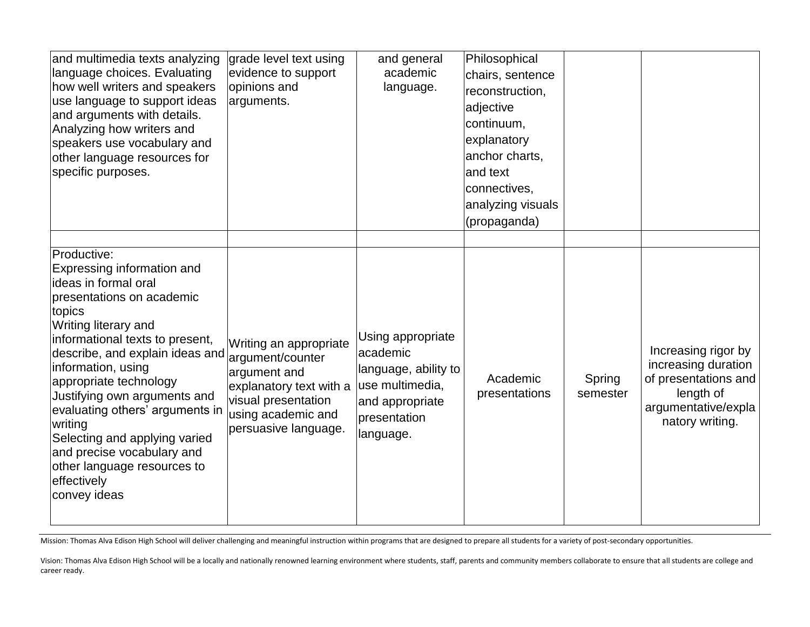| and multimedia texts analyzing<br>language choices. Evaluating<br>how well writers and speakers<br>use language to support ideas<br>and arguments with details.<br>Analyzing how writers and<br>speakers use vocabulary and<br>other language resources for<br>specific purposes.                                                                                                                                                                                                   | grade level text using<br>evidence to support<br>opinions and<br>arguments.                                                            | and general<br>academic<br>language.                                                                                     | Philosophical<br>chairs, sentence<br>reconstruction,<br>adjective<br>continuum,<br>explanatory<br>anchor charts,<br>land text<br>connectives,<br>analyzing visuals<br>(propaganda) |                    |                                                                                                                           |
|-------------------------------------------------------------------------------------------------------------------------------------------------------------------------------------------------------------------------------------------------------------------------------------------------------------------------------------------------------------------------------------------------------------------------------------------------------------------------------------|----------------------------------------------------------------------------------------------------------------------------------------|--------------------------------------------------------------------------------------------------------------------------|------------------------------------------------------------------------------------------------------------------------------------------------------------------------------------|--------------------|---------------------------------------------------------------------------------------------------------------------------|
| Productive:<br>Expressing information and<br>lideas in formal oral<br>presentations on academic<br>topics<br>Writing literary and<br>informational texts to present,<br>describe, and explain ideas and argument/counter<br>information, using<br>appropriate technology<br>Justifying own arguments and<br>evaluating others' arguments in<br>writing<br>Selecting and applying varied<br>and precise vocabulary and<br>other language resources to<br>effectively<br>convey ideas | Writing an appropriate<br>argument and<br>explanatory text with a<br>visual presentation<br>using academic and<br>persuasive language. | Using appropriate<br>academic<br>language, ability to<br>use multimedia,<br>and appropriate<br>presentation<br>language. | Academic<br>presentations                                                                                                                                                          | Spring<br>semester | Increasing rigor by<br>increasing duration<br>of presentations and<br>length of<br>argumentative/expla<br>natory writing. |

Mission: Thomas Alva Edison High School will deliver challenging and meaningful instruction within programs that are designed to prepare all students for a variety of post-secondary opportunities.

Vision: Thomas Alva Edison High School will be a locally and nationally renowned learning environment where students, staff, parents and community members collaborate to ensure that all students are college and career ready.